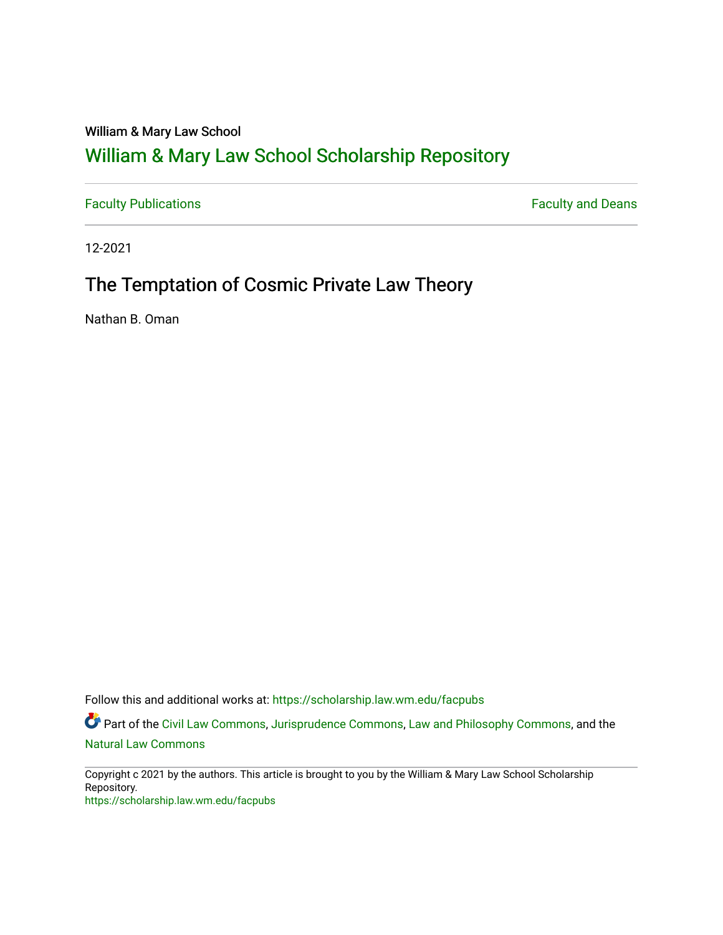### William & Mary Law School

# [William & Mary Law School Scholarship Repository](https://scholarship.law.wm.edu/)

[Faculty Publications](https://scholarship.law.wm.edu/facpubs) **Faculty Publications** 

12-2021

## The Temptation of Cosmic Private Law Theory

Nathan B. Oman

Follow this and additional works at: [https://scholarship.law.wm.edu/facpubs](https://scholarship.law.wm.edu/facpubs?utm_source=scholarship.law.wm.edu%2Ffacpubs%2F2059&utm_medium=PDF&utm_campaign=PDFCoverPages)

Part of the [Civil Law Commons](http://network.bepress.com/hgg/discipline/835?utm_source=scholarship.law.wm.edu%2Ffacpubs%2F2059&utm_medium=PDF&utm_campaign=PDFCoverPages), [Jurisprudence Commons,](http://network.bepress.com/hgg/discipline/610?utm_source=scholarship.law.wm.edu%2Ffacpubs%2F2059&utm_medium=PDF&utm_campaign=PDFCoverPages) [Law and Philosophy Commons,](http://network.bepress.com/hgg/discipline/1299?utm_source=scholarship.law.wm.edu%2Ffacpubs%2F2059&utm_medium=PDF&utm_campaign=PDFCoverPages) and the [Natural Law Commons](http://network.bepress.com/hgg/discipline/1263?utm_source=scholarship.law.wm.edu%2Ffacpubs%2F2059&utm_medium=PDF&utm_campaign=PDFCoverPages) 

Copyright c 2021 by the authors. This article is brought to you by the William & Mary Law School Scholarship Repository. <https://scholarship.law.wm.edu/facpubs>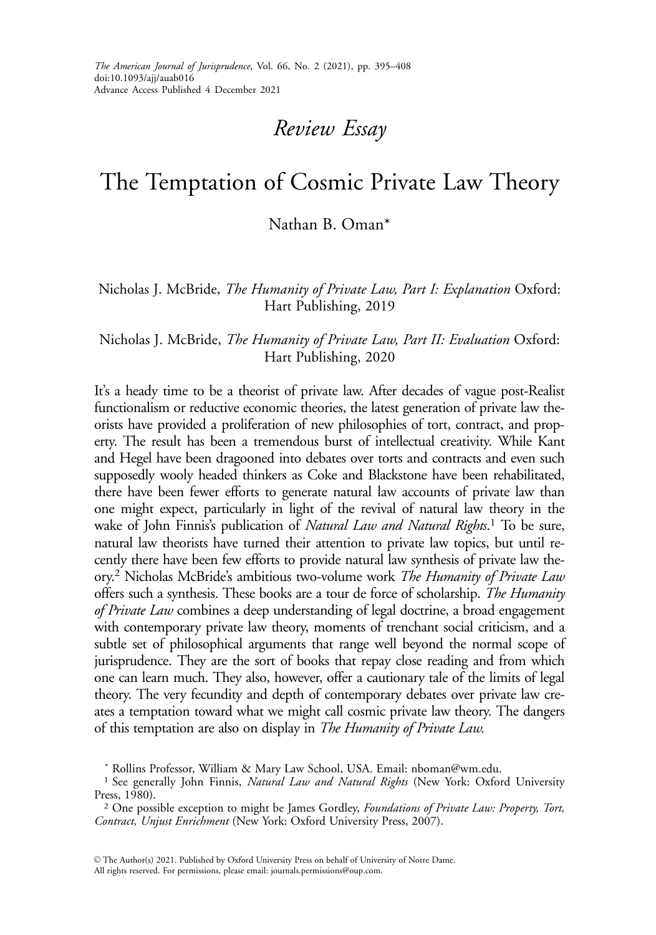## Review Essay

## The Temptation of Cosmic Private Law Theory

### Nathan B. Oman\*

Nicholas J. McBride, The Humanity of Private Law, Part I: Explanation Oxford: Hart Publishing, 2019

#### Nicholas J. McBride, The Humanity of Private Law, Part II: Evaluation Oxford: Hart Publishing, 2020

It's a heady time to be a theorist of private law. After decades of vague post-Realist functionalism or reductive economic theories, the latest generation of private law theorists have provided a proliferation of new philosophies of tort, contract, and property. The result has been a tremendous burst of intellectual creativity. While Kant and Hegel have been dragooned into debates over torts and contracts and even such supposedly wooly headed thinkers as Coke and Blackstone have been rehabilitated, there have been fewer efforts to generate natural law accounts of private law than one might expect, particularly in light of the revival of natural law theory in the wake of John Finnis's publication of *Natural Law and Natural Rights*.<sup>1</sup> To be sure, natural law theorists have turned their attention to private law topics, but until recently there have been few efforts to provide natural law synthesis of private law theory.<sup>2</sup> Nicholas McBride's ambitious two-volume work The Humanity of Private Law offers such a synthesis. These books are a tour de force of scholarship. The Humanity of Private Law combines a deep understanding of legal doctrine, a broad engagement with contemporary private law theory, moments of trenchant social criticism, and a subtle set of philosophical arguments that range well beyond the normal scope of jurisprudence. They are the sort of books that repay close reading and from which one can learn much. They also, however, offer a cautionary tale of the limits of legal theory. The very fecundity and depth of contemporary debates over private law creates a temptation toward what we might call cosmic private law theory. The dangers of this temptation are also on display in The Humanity of Private Law.

<sup>\*</sup> Rollins Professor, William & Mary Law School, USA. Email: nboman@wm.edu.

<sup>&</sup>lt;sup>1</sup> See generally John Finnis, Natural Law and Natural Rights (New York: Oxford University Press, 1980).

<sup>&</sup>lt;sup>2</sup> One possible exception to might be James Gordley, Foundations of Private Law: Property, Tort, Contract, Unjust Enrichment (New York: Oxford University Press, 2007).

V<sup>C</sup> The Author(s) 2021. Published by Oxford University Press on behalf of University of Notre Dame. All rights reserved. For permissions, please email: journals.permissions@oup.com.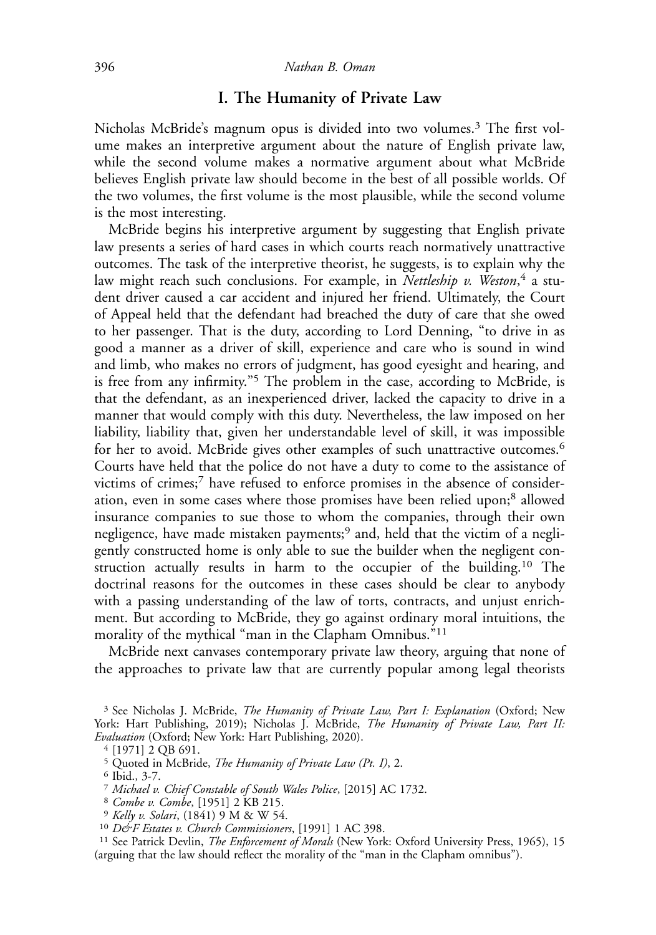### I. The Humanity of Private Law

Nicholas McBride's magnum opus is divided into two volumes.<sup>3</sup> The first volume makes an interpretive argument about the nature of English private law, while the second volume makes a normative argument about what McBride believes English private law should become in the best of all possible worlds. Of the two volumes, the first volume is the most plausible, while the second volume is the most interesting.

McBride begins his interpretive argument by suggesting that English private law presents a series of hard cases in which courts reach normatively unattractive outcomes. The task of the interpretive theorist, he suggests, is to explain why the law might reach such conclusions. For example, in *Nettleship v. Weston*,<sup>4</sup> a student driver caused a car accident and injured her friend. Ultimately, the Court of Appeal held that the defendant had breached the duty of care that she owed to her passenger. That is the duty, according to Lord Denning, "to drive in as good a manner as a driver of skill, experience and care who is sound in wind and limb, who makes no errors of judgment, has good eyesight and hearing, and is free from any infirmity."<sup>5</sup> The problem in the case, according to McBride, is that the defendant, as an inexperienced driver, lacked the capacity to drive in a manner that would comply with this duty. Nevertheless, the law imposed on her liability, liability that, given her understandable level of skill, it was impossible for her to avoid. McBride gives other examples of such unattractive outcomes.<sup>6</sup> Courts have held that the police do not have a duty to come to the assistance of victims of crimes;7 have refused to enforce promises in the absence of consideration, even in some cases where those promises have been relied upon;<sup>8</sup> allowed insurance companies to sue those to whom the companies, through their own negligence, have made mistaken payments;<sup>9</sup> and, held that the victim of a negligently constructed home is only able to sue the builder when the negligent construction actually results in harm to the occupier of the building.<sup>10</sup> The doctrinal reasons for the outcomes in these cases should be clear to anybody with a passing understanding of the law of torts, contracts, and unjust enrichment. But according to McBride, they go against ordinary moral intuitions, the morality of the mythical "man in the Clapham Omnibus."11

McBride next canvases contemporary private law theory, arguing that none of the approaches to private law that are currently popular among legal theorists

<sup>8</sup> Combe v. Combe, [1951] 2 KB 215.<br><sup>9</sup> Kelly v. Solari, (1841) 9 M & W 54.<br><sup>10</sup> D&F Estates v. Church Commissioners, [1991] 1 AC 398.<br><sup>11</sup> See Patrick Devlin, *The Enforcement of Morals* (New York: Oxford University Pres (arguing that the law should reflect the morality of the "man in the Clapham omnibus").

<sup>&</sup>lt;sup>3</sup> See Nicholas J. McBride, *The Humanity of Private Law, Part I: Explanation* (Oxford; New York: Hart Publishing, 2019); Nicholas J. McBride, The Humanity of Private Law, Part II: Evaluation (Oxford; New York: Hart Publishing, 2020). <sup>4</sup> [1971] 2 QB 691.

<sup>&</sup>lt;sup>5</sup> Quoted in McBride, *The Humanity of Private Law (Pt. I)*, 2.<br><sup>6</sup> Ibid., 3-7.<br>*7 Michael v. Chief Constable of South Wales Police*, [2015] AC 1732.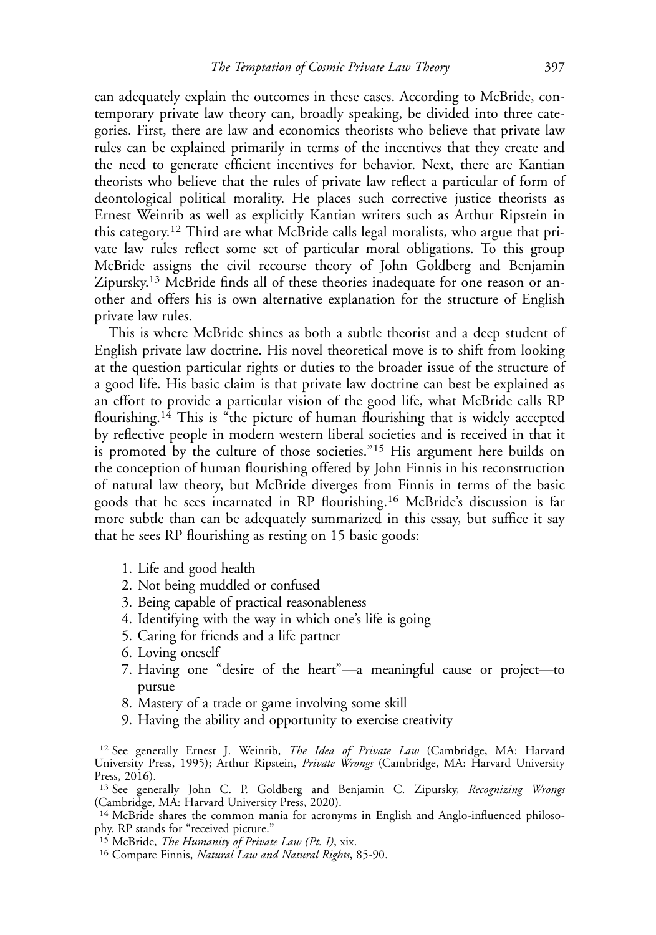can adequately explain the outcomes in these cases. According to McBride, contemporary private law theory can, broadly speaking, be divided into three categories. First, there are law and economics theorists who believe that private law rules can be explained primarily in terms of the incentives that they create and the need to generate efficient incentives for behavior. Next, there are Kantian theorists who believe that the rules of private law reflect a particular of form of deontological political morality. He places such corrective justice theorists as Ernest Weinrib as well as explicitly Kantian writers such as Arthur Ripstein in this category.<sup>12</sup> Third are what McBride calls legal moralists, who argue that private law rules reflect some set of particular moral obligations. To this group McBride assigns the civil recourse theory of John Goldberg and Benjamin Zipursky.13 McBride finds all of these theories inadequate for one reason or another and offers his is own alternative explanation for the structure of English private law rules.

This is where McBride shines as both a subtle theorist and a deep student of English private law doctrine. His novel theoretical move is to shift from looking at the question particular rights or duties to the broader issue of the structure of a good life. His basic claim is that private law doctrine can best be explained as an effort to provide a particular vision of the good life, what McBride calls RP flourishing.<sup>14</sup> This is "the picture of human flourishing that is widely accepted by reflective people in modern western liberal societies and is received in that it is promoted by the culture of those societies."<sup>15</sup> His argument here builds on the conception of human flourishing offered by John Finnis in his reconstruction of natural law theory, but McBride diverges from Finnis in terms of the basic goods that he sees incarnated in RP flourishing.<sup>16</sup> McBride's discussion is far more subtle than can be adequately summarized in this essay, but suffice it say that he sees RP flourishing as resting on 15 basic goods:

- 1. Life and good health
- 2. Not being muddled or confused
- 3. Being capable of practical reasonableness
- 4. Identifying with the way in which one's life is going
- 5. Caring for friends and a life partner
- 6. Loving oneself
- 7. Having one "desire of the heart"—a meaningful cause or project—to pursue
- 8. Mastery of a trade or game involving some skill
- 9. Having the ability and opportunity to exercise creativity

<sup>12</sup> See generally Ernest J. Weinrib, *The Idea of Private Law* (Cambridge, MA: Harvard University Press, 1995); Arthur Ripstein, Private Wrongs (Cambridge, MA: Harvard University Press, 2016).

<sup>13</sup> See generally John C. P. Goldberg and Benjamin C. Zipursky, Recognizing Wrongs (Cambridge, MA: Harvard University Press, 2020).

<sup>14</sup> McBride shares the common mania for acronyms in English and Anglo-influenced philosophy. RP stands for "received picture."<br><sup>15</sup> McBride, *The Humanity of Private Law (Pt. I)*, xix.

<sup>&</sup>lt;sup>16</sup> Compare Finnis, Natural Law and Natural Rights, 85-90.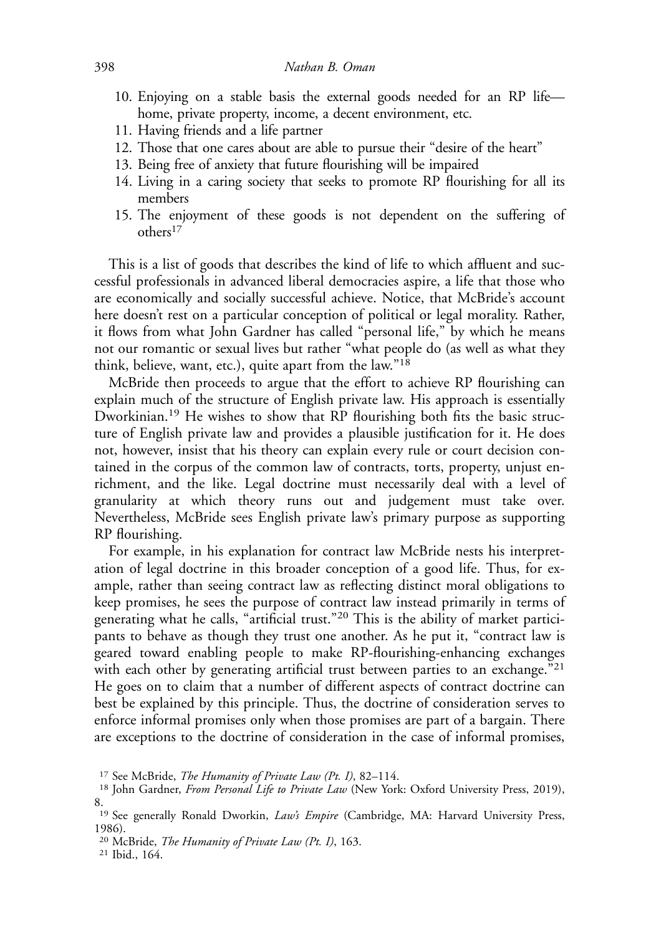- 10. Enjoying on a stable basis the external goods needed for an RP life home, private property, income, a decent environment, etc.
- 11. Having friends and a life partner
- 12. Those that one cares about are able to pursue their "desire of the heart"
- 13. Being free of anxiety that future flourishing will be impaired
- 14. Living in a caring society that seeks to promote RP flourishing for all its members
- 15. The enjoyment of these goods is not dependent on the suffering of others17

This is a list of goods that describes the kind of life to which affluent and successful professionals in advanced liberal democracies aspire, a life that those who are economically and socially successful achieve. Notice, that McBride's account here doesn't rest on a particular conception of political or legal morality. Rather, it flows from what John Gardner has called "personal life," by which he means not our romantic or sexual lives but rather "what people do (as well as what they think, believe, want, etc.), quite apart from the law."18

McBride then proceeds to argue that the effort to achieve RP flourishing can explain much of the structure of English private law. His approach is essentially Dworkinian.<sup>19</sup> He wishes to show that RP flourishing both fits the basic structure of English private law and provides a plausible justification for it. He does not, however, insist that his theory can explain every rule or court decision contained in the corpus of the common law of contracts, torts, property, unjust enrichment, and the like. Legal doctrine must necessarily deal with a level of granularity at which theory runs out and judgement must take over. Nevertheless, McBride sees English private law's primary purpose as supporting RP flourishing.

For example, in his explanation for contract law McBride nests his interpretation of legal doctrine in this broader conception of a good life. Thus, for example, rather than seeing contract law as reflecting distinct moral obligations to keep promises, he sees the purpose of contract law instead primarily in terms of generating what he calls, "artificial trust."<sup>20</sup> This is the ability of market participants to behave as though they trust one another. As he put it, "contract law is geared toward enabling people to make RP-flourishing-enhancing exchanges with each other by generating artificial trust between parties to an exchange."<sup>21</sup> He goes on to claim that a number of different aspects of contract doctrine can best be explained by this principle. Thus, the doctrine of consideration serves to enforce informal promises only when those promises are part of a bargain. There are exceptions to the doctrine of consideration in the case of informal promises,

<sup>&</sup>lt;sup>17</sup> See McBride, *The Humanity of Private Law (Pt. I)*, 82–114.<br><sup>18</sup> John Gardner, *From Personal Life to Private Law* (New York: Oxford University Press, 2019), 8.

<sup>&</sup>lt;sup>19</sup> See generally Ronald Dworkin, *Law's Empire* (Cambridge, MA: Harvard University Press, 1986).

<sup>&</sup>lt;sup>20</sup> McBride, *The Humanity of Private Law (Pt. I)*, 163.<br><sup>21</sup> Ibid., 164.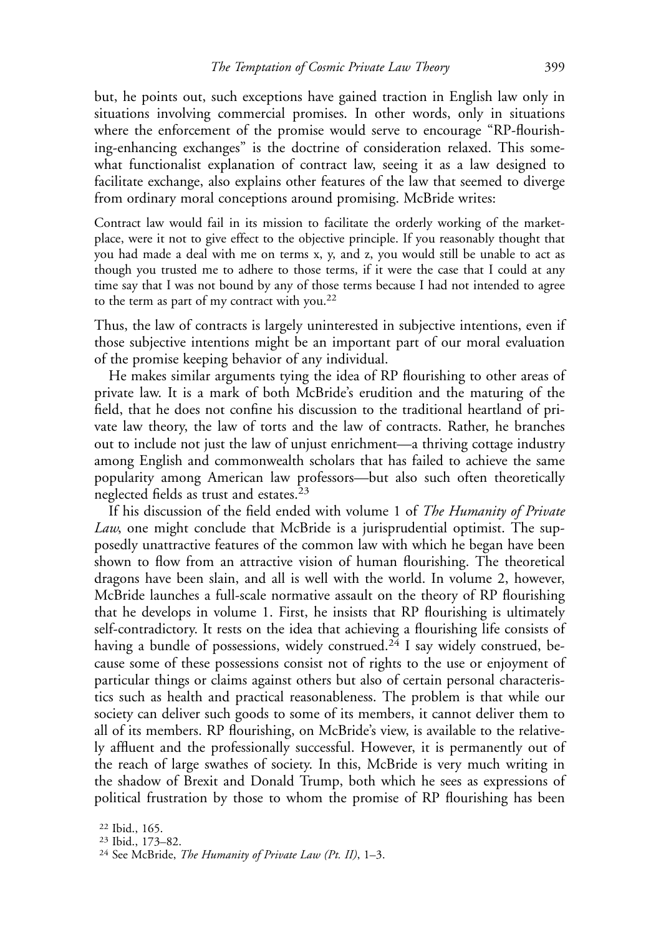but, he points out, such exceptions have gained traction in English law only in situations involving commercial promises. In other words, only in situations where the enforcement of the promise would serve to encourage "RP-flourishing-enhancing exchanges" is the doctrine of consideration relaxed. This somewhat functionalist explanation of contract law, seeing it as a law designed to facilitate exchange, also explains other features of the law that seemed to diverge from ordinary moral conceptions around promising. McBride writes:

Contract law would fail in its mission to facilitate the orderly working of the marketplace, were it not to give effect to the objective principle. If you reasonably thought that you had made a deal with me on terms x, y, and z, you would still be unable to act as though you trusted me to adhere to those terms, if it were the case that I could at any time say that I was not bound by any of those terms because I had not intended to agree to the term as part of my contract with you.<sup>22</sup>

Thus, the law of contracts is largely uninterested in subjective intentions, even if those subjective intentions might be an important part of our moral evaluation of the promise keeping behavior of any individual.

He makes similar arguments tying the idea of RP flourishing to other areas of private law. It is a mark of both McBride's erudition and the maturing of the field, that he does not confine his discussion to the traditional heartland of private law theory, the law of torts and the law of contracts. Rather, he branches out to include not just the law of unjust enrichment—a thriving cottage industry among English and commonwealth scholars that has failed to achieve the same popularity among American law professors—but also such often theoretically neglected fields as trust and estates.<sup>23</sup>

If his discussion of the field ended with volume 1 of *The Humanity of Private* Law, one might conclude that McBride is a jurisprudential optimist. The supposedly unattractive features of the common law with which he began have been shown to flow from an attractive vision of human flourishing. The theoretical dragons have been slain, and all is well with the world. In volume 2, however, McBride launches a full-scale normative assault on the theory of RP flourishing that he develops in volume 1. First, he insists that RP flourishing is ultimately self-contradictory. It rests on the idea that achieving a flourishing life consists of having a bundle of possessions, widely construed.<sup>24</sup> I say widely construed, because some of these possessions consist not of rights to the use or enjoyment of particular things or claims against others but also of certain personal characteristics such as health and practical reasonableness. The problem is that while our society can deliver such goods to some of its members, it cannot deliver them to all of its members. RP flourishing, on McBride's view, is available to the relatively affluent and the professionally successful. However, it is permanently out of the reach of large swathes of society. In this, McBride is very much writing in the shadow of Brexit and Donald Trump, both which he sees as expressions of political frustration by those to whom the promise of RP flourishing has been

<sup>&</sup>lt;sup>22</sup> Ibid., 165.<br><sup>23</sup> Ibid., 173–82.<br><sup>24</sup> See McBride, *The Humanity of Private Law (Pt. II)*, 1–3.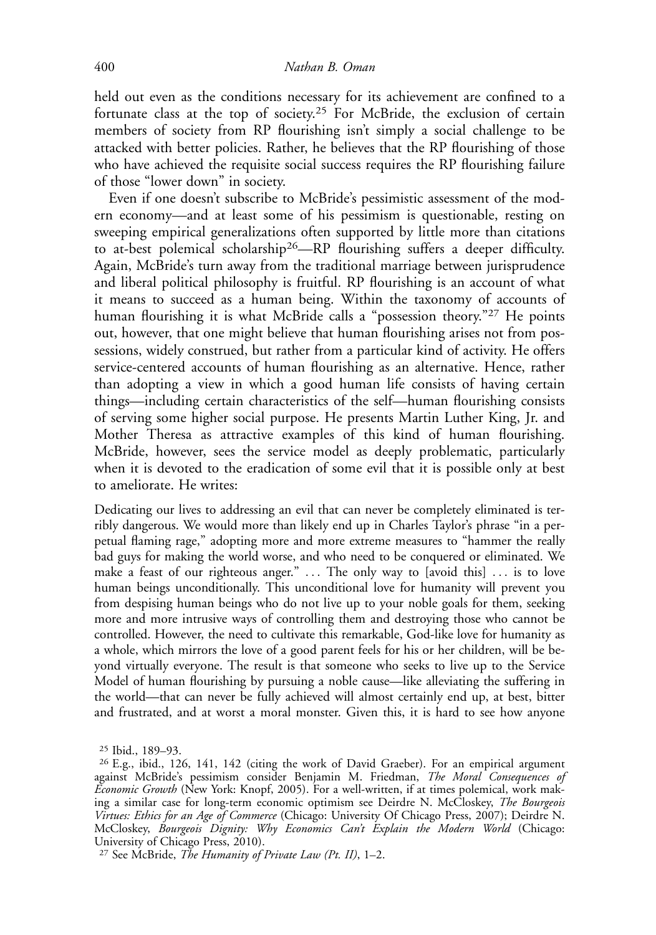held out even as the conditions necessary for its achievement are confined to a fortunate class at the top of society.<sup>25</sup> For McBride, the exclusion of certain members of society from RP flourishing isn't simply a social challenge to be attacked with better policies. Rather, he believes that the RP flourishing of those who have achieved the requisite social success requires the RP flourishing failure of those "lower down" in society.

Even if one doesn't subscribe to McBride's pessimistic assessment of the modern economy—and at least some of his pessimism is questionable, resting on sweeping empirical generalizations often supported by little more than citations to at-best polemical scholarship26—RP flourishing suffers a deeper difficulty. Again, McBride's turn away from the traditional marriage between jurisprudence and liberal political philosophy is fruitful. RP flourishing is an account of what it means to succeed as a human being. Within the taxonomy of accounts of human flourishing it is what McBride calls a "possession theory."<sup>27</sup> He points out, however, that one might believe that human flourishing arises not from possessions, widely construed, but rather from a particular kind of activity. He offers service-centered accounts of human flourishing as an alternative. Hence, rather than adopting a view in which a good human life consists of having certain things—including certain characteristics of the self—human flourishing consists of serving some higher social purpose. He presents Martin Luther King, Jr. and Mother Theresa as attractive examples of this kind of human flourishing. McBride, however, sees the service model as deeply problematic, particularly when it is devoted to the eradication of some evil that it is possible only at best to ameliorate. He writes:

Dedicating our lives to addressing an evil that can never be completely eliminated is terribly dangerous. We would more than likely end up in Charles Taylor's phrase "in a perpetual flaming rage," adopting more and more extreme measures to "hammer the really bad guys for making the world worse, and who need to be conquered or eliminated. We make a feast of our righteous anger." ... The only way to [avoid this] ... is to love human beings unconditionally. This unconditional love for humanity will prevent you from despising human beings who do not live up to your noble goals for them, seeking more and more intrusive ways of controlling them and destroying those who cannot be controlled. However, the need to cultivate this remarkable, God-like love for humanity as a whole, which mirrors the love of a good parent feels for his or her children, will be beyond virtually everyone. The result is that someone who seeks to live up to the Service Model of human flourishing by pursuing a noble cause—like alleviating the suffering in the world—that can never be fully achieved will almost certainly end up, at best, bitter and frustrated, and at worst a moral monster. Given this, it is hard to see how anyone

<sup>&</sup>lt;sup>25</sup> Ibid., 189–93.<br><sup>26</sup> E.g., ibid., 126, 141, 142 (citing the work of David Graeber). For an empirical argument against McBride's pessimism consider Benjamin M. Friedman, The Moral Consequences of Economic Growth (New York: Knopf, 2005). For a well-written, if at times polemical, work making a similar case for long-term economic optimism see Deirdre N. McCloskey, The Bourgeois Virtues: Ethics for an Age of Commerce (Chicago: University Of Chicago Press, 2007); Deirdre N. McCloskey, Bourgeois Dignity: Why Economics Can't Explain the Modern World (Chicago: University of Chicago Press, 2010).

<sup>&</sup>lt;sup>27</sup> See McBride, *The Humanity of Private Law (Pt. II)*,  $1-2$ .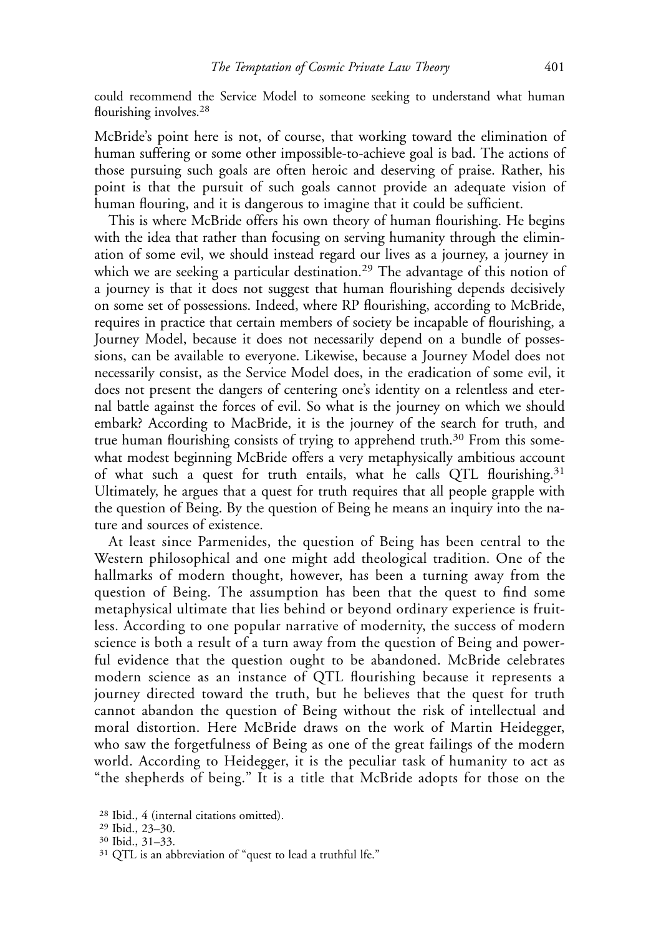could recommend the Service Model to someone seeking to understand what human flourishing involves.<sup>28</sup>

McBride's point here is not, of course, that working toward the elimination of human suffering or some other impossible-to-achieve goal is bad. The actions of those pursuing such goals are often heroic and deserving of praise. Rather, his point is that the pursuit of such goals cannot provide an adequate vision of human flouring, and it is dangerous to imagine that it could be sufficient.

This is where McBride offers his own theory of human flourishing. He begins with the idea that rather than focusing on serving humanity through the elimination of some evil, we should instead regard our lives as a journey, a journey in which we are seeking a particular destination.<sup>29</sup> The advantage of this notion of a journey is that it does not suggest that human flourishing depends decisively on some set of possessions. Indeed, where RP flourishing, according to McBride, requires in practice that certain members of society be incapable of flourishing, a Journey Model, because it does not necessarily depend on a bundle of possessions, can be available to everyone. Likewise, because a Journey Model does not necessarily consist, as the Service Model does, in the eradication of some evil, it does not present the dangers of centering one's identity on a relentless and eternal battle against the forces of evil. So what is the journey on which we should embark? According to MacBride, it is the journey of the search for truth, and true human flourishing consists of trying to apprehend truth.<sup>30</sup> From this somewhat modest beginning McBride offers a very metaphysically ambitious account of what such a quest for truth entails, what he calls QTL flourishing.<sup>31</sup> Ultimately, he argues that a quest for truth requires that all people grapple with the question of Being. By the question of Being he means an inquiry into the nature and sources of existence.

At least since Parmenides, the question of Being has been central to the Western philosophical and one might add theological tradition. One of the hallmarks of modern thought, however, has been a turning away from the question of Being. The assumption has been that the quest to find some metaphysical ultimate that lies behind or beyond ordinary experience is fruitless. According to one popular narrative of modernity, the success of modern science is both a result of a turn away from the question of Being and powerful evidence that the question ought to be abandoned. McBride celebrates modern science as an instance of QTL flourishing because it represents a journey directed toward the truth, but he believes that the quest for truth cannot abandon the question of Being without the risk of intellectual and moral distortion. Here McBride draws on the work of Martin Heidegger, who saw the forgetfulness of Being as one of the great failings of the modern world. According to Heidegger, it is the peculiar task of humanity to act as "the shepherds of being." It is a title that McBride adopts for those on the

<sup>&</sup>lt;sup>28</sup> Ibid., 4 (internal citations omitted).<br><sup>29</sup> Ibid., 23–30.<br><sup>30</sup> Ibid., 31–33.<br><sup>31</sup> QTL is an abbreviation of "quest to lead a truthful lfe."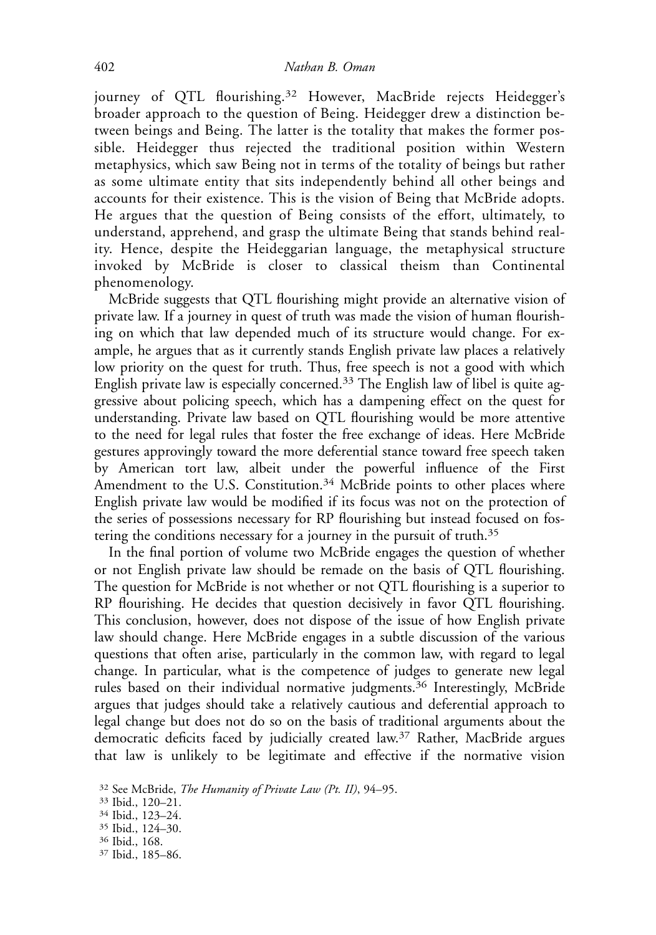journey of QTL flourishing.<sup>32</sup> However, MacBride rejects Heidegger's broader approach to the question of Being. Heidegger drew a distinction between beings and Being. The latter is the totality that makes the former possible. Heidegger thus rejected the traditional position within Western metaphysics, which saw Being not in terms of the totality of beings but rather as some ultimate entity that sits independently behind all other beings and accounts for their existence. This is the vision of Being that McBride adopts. He argues that the question of Being consists of the effort, ultimately, to understand, apprehend, and grasp the ultimate Being that stands behind reality. Hence, despite the Heideggarian language, the metaphysical structure invoked by McBride is closer to classical theism than Continental phenomenology.

McBride suggests that QTL flourishing might provide an alternative vision of private law. If a journey in quest of truth was made the vision of human flourishing on which that law depended much of its structure would change. For example, he argues that as it currently stands English private law places a relatively low priority on the quest for truth. Thus, free speech is not a good with which English private law is especially concerned.<sup>33</sup> The English law of libel is quite aggressive about policing speech, which has a dampening effect on the quest for understanding. Private law based on QTL flourishing would be more attentive to the need for legal rules that foster the free exchange of ideas. Here McBride gestures approvingly toward the more deferential stance toward free speech taken by American tort law, albeit under the powerful influence of the First Amendment to the U.S. Constitution.<sup>34</sup> McBride points to other places where English private law would be modified if its focus was not on the protection of the series of possessions necessary for RP flourishing but instead focused on fostering the conditions necessary for a journey in the pursuit of truth.<sup>35</sup>

In the final portion of volume two McBride engages the question of whether or not English private law should be remade on the basis of QTL flourishing. The question for McBride is not whether or not QTL flourishing is a superior to RP flourishing. He decides that question decisively in favor QTL flourishing. This conclusion, however, does not dispose of the issue of how English private law should change. Here McBride engages in a subtle discussion of the various questions that often arise, particularly in the common law, with regard to legal change. In particular, what is the competence of judges to generate new legal rules based on their individual normative judgments.<sup>36</sup> Interestingly, McBride argues that judges should take a relatively cautious and deferential approach to legal change but does not do so on the basis of traditional arguments about the democratic deficits faced by judicially created law.37 Rather, MacBride argues that law is unlikely to be legitimate and effective if the normative vision

<sup>37</sup> Ibid., 185-86.

<sup>&</sup>lt;sup>32</sup> See McBride, *The Humanity of Private Law (Pt. II)*, 94–95.<br><sup>33</sup> Ibid., 120–21.

<sup>34</sup> Ibid., 123–24.

<sup>&</sup>lt;sup>35</sup> Ibid., 124–30.<br><sup>36</sup> Ibid., 168.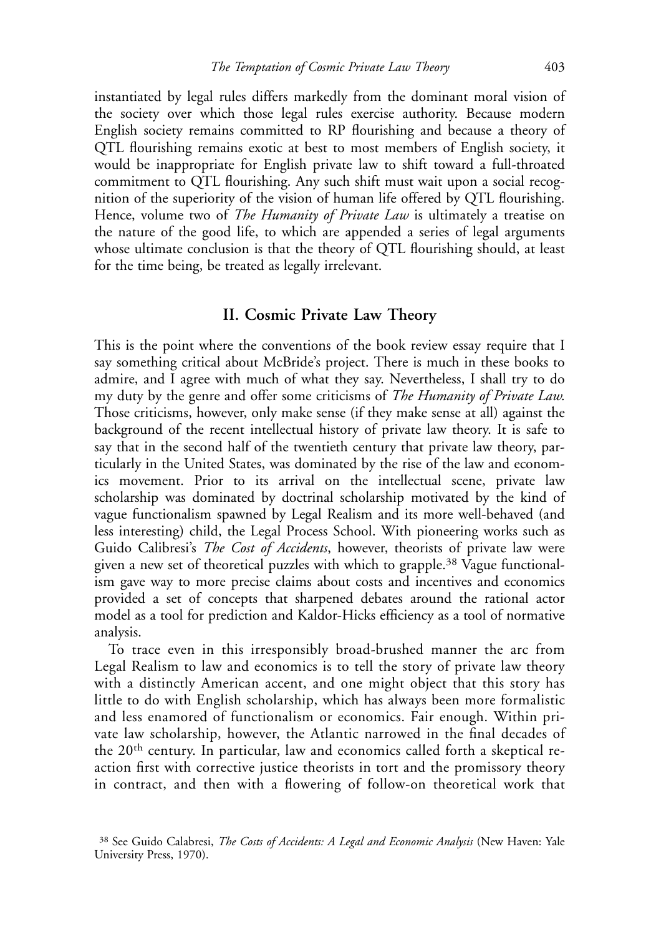instantiated by legal rules differs markedly from the dominant moral vision of the society over which those legal rules exercise authority. Because modern English society remains committed to RP flourishing and because a theory of QTL flourishing remains exotic at best to most members of English society, it would be inappropriate for English private law to shift toward a full-throated commitment to QTL flourishing. Any such shift must wait upon a social recognition of the superiority of the vision of human life offered by QTL flourishing. Hence, volume two of *The Humanity of Private Law* is ultimately a treatise on the nature of the good life, to which are appended a series of legal arguments whose ultimate conclusion is that the theory of QTL flourishing should, at least for the time being, be treated as legally irrelevant.

#### II. Cosmic Private Law Theory

This is the point where the conventions of the book review essay require that I say something critical about McBride's project. There is much in these books to admire, and I agree with much of what they say. Nevertheless, I shall try to do my duty by the genre and offer some criticisms of *The Humanity of Private Law*. Those criticisms, however, only make sense (if they make sense at all) against the background of the recent intellectual history of private law theory. It is safe to say that in the second half of the twentieth century that private law theory, particularly in the United States, was dominated by the rise of the law and economics movement. Prior to its arrival on the intellectual scene, private law scholarship was dominated by doctrinal scholarship motivated by the kind of vague functionalism spawned by Legal Realism and its more well-behaved (and less interesting) child, the Legal Process School. With pioneering works such as Guido Calibresi's The Cost of Accidents, however, theorists of private law were given a new set of theoretical puzzles with which to grapple.<sup>38</sup> Vague functionalism gave way to more precise claims about costs and incentives and economics provided a set of concepts that sharpened debates around the rational actor model as a tool for prediction and Kaldor-Hicks efficiency as a tool of normative analysis.

To trace even in this irresponsibly broad-brushed manner the arc from Legal Realism to law and economics is to tell the story of private law theory with a distinctly American accent, and one might object that this story has little to do with English scholarship, which has always been more formalistic and less enamored of functionalism or economics. Fair enough. Within private law scholarship, however, the Atlantic narrowed in the final decades of the 20th century. In particular, law and economics called forth a skeptical reaction first with corrective justice theorists in tort and the promissory theory in contract, and then with a flowering of follow-on theoretical work that

<sup>&</sup>lt;sup>38</sup> See Guido Calabresi, *The Costs of Accidents: A Legal and Economic Analysis* (New Haven: Yale University Press, 1970).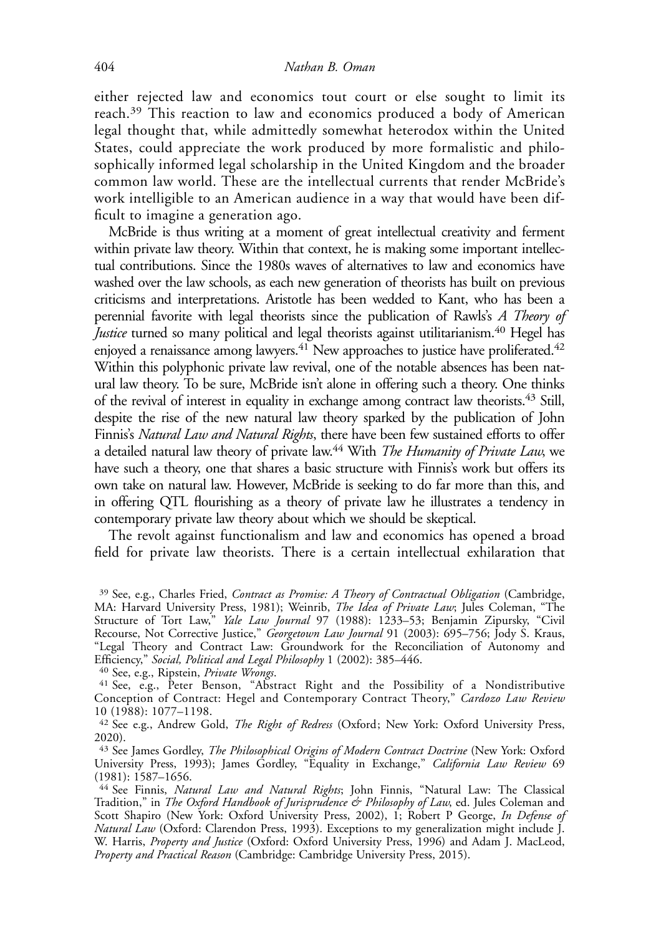either rejected law and economics tout court or else sought to limit its reach.<sup>39</sup> This reaction to law and economics produced a body of American legal thought that, while admittedly somewhat heterodox within the United States, could appreciate the work produced by more formalistic and philosophically informed legal scholarship in the United Kingdom and the broader common law world. These are the intellectual currents that render McBride's work intelligible to an American audience in a way that would have been difficult to imagine a generation ago.

McBride is thus writing at a moment of great intellectual creativity and ferment within private law theory. Within that context, he is making some important intellectual contributions. Since the 1980s waves of alternatives to law and economics have washed over the law schools, as each new generation of theorists has built on previous criticisms and interpretations. Aristotle has been wedded to Kant, who has been a perennial favorite with legal theorists since the publication of Rawls's A Theory of Justice turned so many political and legal theorists against utilitarianism.<sup>40</sup> Hegel has enjoyed a renaissance among lawyers.<sup>41</sup> New approaches to justice have proliferated.<sup>42</sup> Within this polyphonic private law revival, one of the notable absences has been natural law theory. To be sure, McBride isn't alone in offering such a theory. One thinks of the revival of interest in equality in exchange among contract law theorists.<sup>43</sup> Still, despite the rise of the new natural law theory sparked by the publication of John Finnis's Natural Law and Natural Rights, there have been few sustained efforts to offer a detailed natural law theory of private law.<sup>44</sup> With *The Humanity of Private Law*, we have such a theory, one that shares a basic structure with Finnis's work but offers its own take on natural law. However, McBride is seeking to do far more than this, and in offering QTL flourishing as a theory of private law he illustrates a tendency in contemporary private law theory about which we should be skeptical.

The revolt against functionalism and law and economics has opened a broad field for private law theorists. There is a certain intellectual exhilaration that

<sup>39</sup> See, e.g., Charles Fried, Contract as Promise: A Theory of Contractual Obligation (Cambridge, MA: Harvard University Press, 1981); Weinrib, The Idea of Private Law; Jules Coleman, "The Structure of Tort Law," Yale Law Journal 97 (1988): 1233-53; Benjamin Zipursky, "Civil Recourse, Not Corrective Justice," Georgetown Law Journal 91 (2003): 695-756; Jody S. Kraus, "Legal Theory and Contract Law: Groundwork for the Reconciliation of Autonomy and Efficiency," Social, Political and Legal Philosophy 1 (2002): 385–446.<br><sup>40</sup> See, e.g., Ripstein, Private Wrongs.

<sup>&</sup>lt;sup>41</sup> See, e.g., Peter Benson, "Abstract Right and the Possibility of a Nondistributive Conception of Contract: Hegel and Contemporary Contract Theory," Cardozo Law Review 10 (1988): 1077–1198.

<sup>&</sup>lt;sup>42</sup> See e.g., Andrew Gold, *The Right of Redress* (Oxford; New York: Oxford University Press, 2020).

<sup>43</sup> See James Gordley, The Philosophical Origins of Modern Contract Doctrine (New York: Oxford University Press, 1993); James Gordley, "Equality in Exchange," California Law Review 69 (1981): 1587–1656.

<sup>&</sup>lt;sup>44</sup> See Finnis, Natural Law and Natural Rights; John Finnis, "Natural Law: The Classical Tradition," in *The Oxford Handbook of Jurisprudence & Philosophy of Law*, ed. Jules Coleman and Scott Shapiro (New York: Oxford University Press, 2002), 1; Robert P George, In Defense of Natural Law (Oxford: Clarendon Press, 1993). Exceptions to my generalization might include J. W. Harris, Property and Justice (Oxford: Oxford University Press, 1996) and Adam J. MacLeod, Property and Practical Reason (Cambridge: Cambridge University Press, 2015).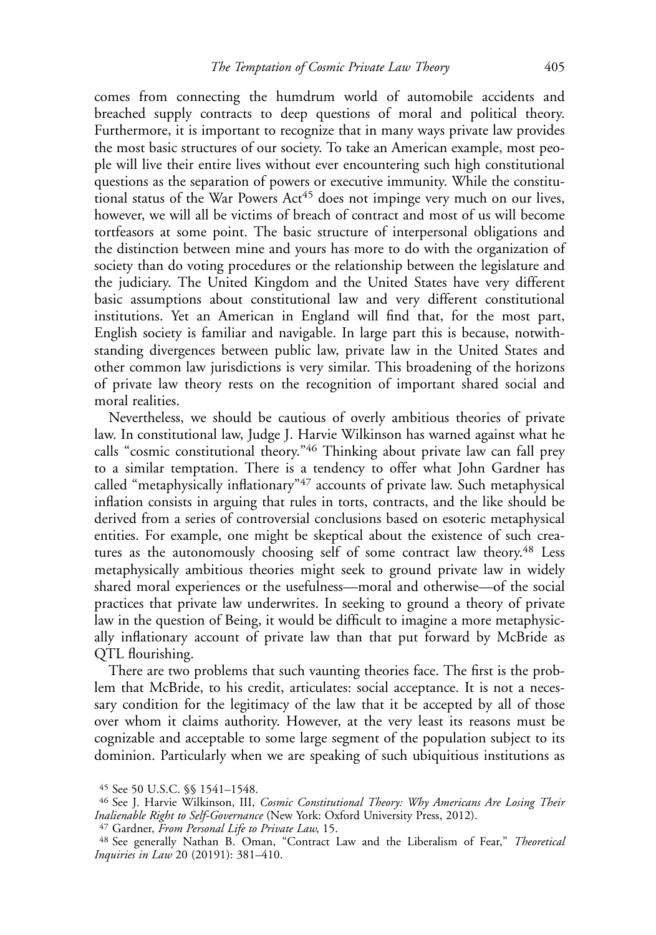comes from connecting the humdrum world of automobile accidents and breached supply contracts to deep questions of moral and political theory. Furthermore, it is important to recognize that in many ways private law provides the most basic structures of our society. To take an American example, most people will live their entire lives without ever encountering such high constitutional questions as the separation of powers or executive immunity. While the constitutional status of the War Powers Act<sup>45</sup> does not impinge very much on our lives, however, we will all be victims of breach of contract and most of us will become tortfeasors at some point. The basic structure of interpersonal obligations and the distinction between mine and yours has more to do with the organization of society than do voting procedures or the relationship between the legislature and the judiciary. The United Kingdom and the United States have very different basic assumptions about constitutional law and very different constitutional institutions. Yet an American in England will find that, for the most part, English society is familiar and navigable. In large part this is because, notwithstanding divergences between public law, private law in the United States and other common law jurisdictions is very similar. This broadening of the horizons of private law theory rests on the recognition of important shared social and moral realities.

Nevertheless, we should be cautious of overly ambitious theories of private law. In constitutional law, Judge J. Harvie Wilkinson has warned against what he calls "cosmic constitutional theory."46 Thinking about private law can fall prey to a similar temptation. There is a tendency to offer what John Gardner has called "metaphysically inflationary"<sup>47</sup> accounts of private law. Such metaphysical inflation consists in arguing that rules in torts, contracts, and the like should be derived from a series of controversial conclusions based on esoteric metaphysical entities. For example, one might be skeptical about the existence of such creatures as the autonomously choosing self of some contract law theory.<sup>48</sup> Less metaphysically ambitious theories might seek to ground private law in widely shared moral experiences or the usefulness—moral and otherwise—of the social practices that private law underwrites. In seeking to ground a theory of private law in the question of Being, it would be difficult to imagine a more metaphysically inflationary account of private law than that put forward by McBride as QTL flourishing.

There are two problems that such vaunting theories face. The first is the problem that McBride, to his credit, articulates: social acceptance. It is not a necessary condition for the legitimacy of the law that it be accepted by all of those over whom it claims authority. However, at the very least its reasons must be cognizable and acceptable to some large segment of the population subject to its dominion. Particularly when we are speaking of such ubiquitious institutions as

<sup>45</sup> See 50 U.S.C. §§ 1541–1548.

<sup>&</sup>lt;sup>46</sup> See J. Harvie Wilkinson, III, Cosmic Constitutional Theory: Why Americans Are Losing Their Inalienable Right to Self-Governance (New York: Oxford University Press, 2012).

<sup>47</sup> Gardner, From Personal Life to Private Law, 15.

<sup>48</sup> See generally Nathan B. Oman, "Contract Law and the Liberalism of Fear," Theoretical Inquiries in Law 20 (20191): 381–410.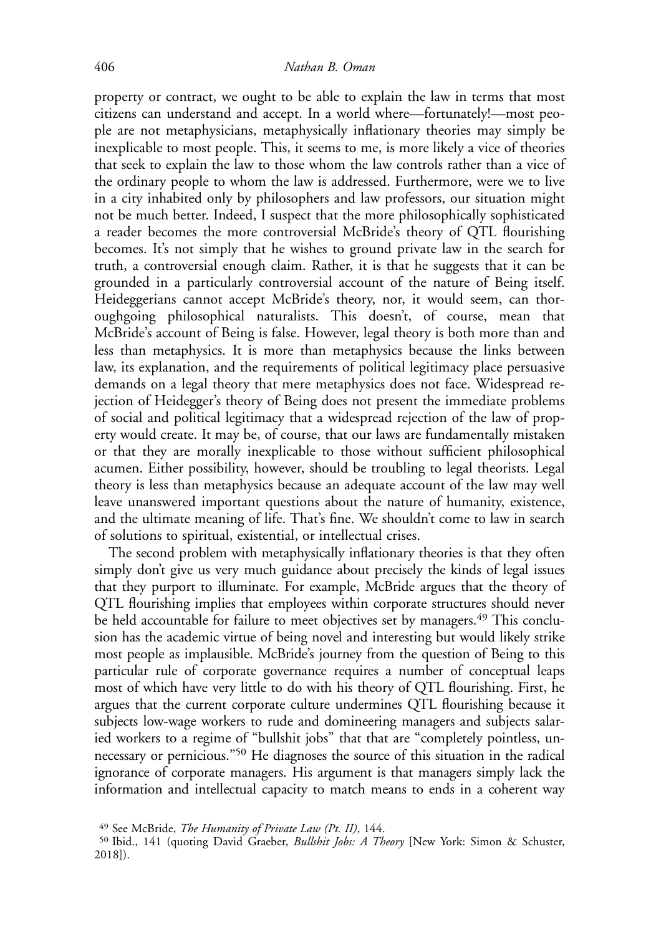property or contract, we ought to be able to explain the law in terms that most citizens can understand and accept. In a world where—fortunately!—most people are not metaphysicians, metaphysically inflationary theories may simply be inexplicable to most people. This, it seems to me, is more likely a vice of theories that seek to explain the law to those whom the law controls rather than a vice of the ordinary people to whom the law is addressed. Furthermore, were we to live in a city inhabited only by philosophers and law professors, our situation might not be much better. Indeed, I suspect that the more philosophically sophisticated a reader becomes the more controversial McBride's theory of QTL flourishing becomes. It's not simply that he wishes to ground private law in the search for truth, a controversial enough claim. Rather, it is that he suggests that it can be grounded in a particularly controversial account of the nature of Being itself. Heideggerians cannot accept McBride's theory, nor, it would seem, can thoroughgoing philosophical naturalists. This doesn't, of course, mean that McBride's account of Being is false. However, legal theory is both more than and less than metaphysics. It is more than metaphysics because the links between law, its explanation, and the requirements of political legitimacy place persuasive demands on a legal theory that mere metaphysics does not face. Widespread rejection of Heidegger's theory of Being does not present the immediate problems of social and political legitimacy that a widespread rejection of the law of property would create. It may be, of course, that our laws are fundamentally mistaken or that they are morally inexplicable to those without sufficient philosophical acumen. Either possibility, however, should be troubling to legal theorists. Legal theory is less than metaphysics because an adequate account of the law may well leave unanswered important questions about the nature of humanity, existence, and the ultimate meaning of life. That's fine. We shouldn't come to law in search of solutions to spiritual, existential, or intellectual crises.

The second problem with metaphysically inflationary theories is that they often simply don't give us very much guidance about precisely the kinds of legal issues that they purport to illuminate. For example, McBride argues that the theory of QTL flourishing implies that employees within corporate structures should never be held accountable for failure to meet objectives set by managers.<sup>49</sup> This conclusion has the academic virtue of being novel and interesting but would likely strike most people as implausible. McBride's journey from the question of Being to this particular rule of corporate governance requires a number of conceptual leaps most of which have very little to do with his theory of QTL flourishing. First, he argues that the current corporate culture undermines QTL flourishing because it subjects low-wage workers to rude and domineering managers and subjects salaried workers to a regime of "bullshit jobs" that that are "completely pointless, unnecessary or pernicious."50 He diagnoses the source of this situation in the radical ignorance of corporate managers. His argument is that managers simply lack the information and intellectual capacity to match means to ends in a coherent way

<sup>49</sup> See McBride, The Humanity of Private Law (Pt. II), 144.

<sup>&</sup>lt;sup>50</sup> Ibid., 141 (quoting David Graeber, *Bullshit Jobs: A Theory* [New York: Simon & Schuster, 2018]).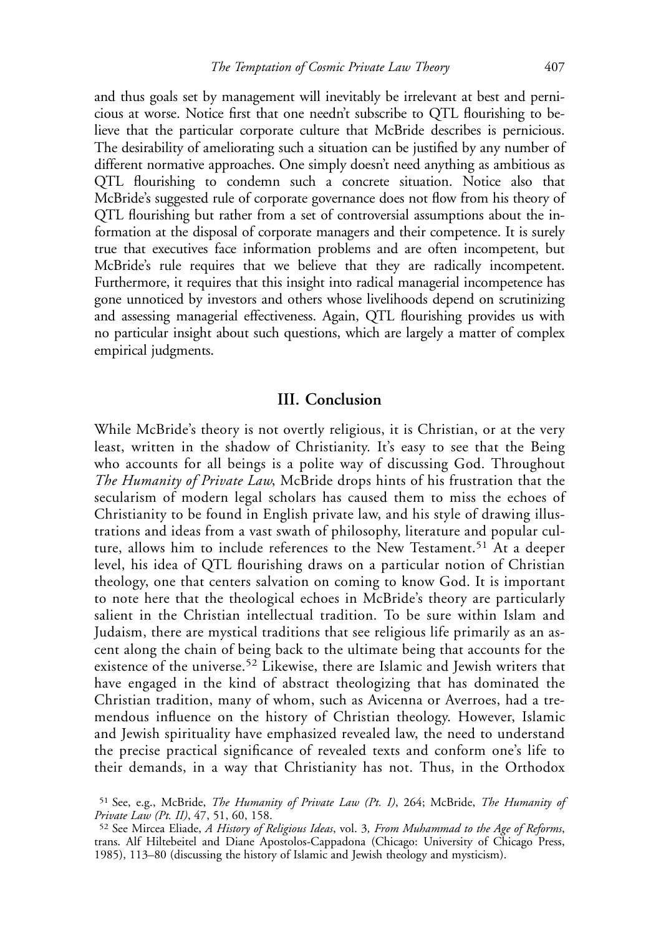and thus goals set by management will inevitably be irrelevant at best and pernicious at worse. Notice first that one needn't subscribe to QTL flourishing to believe that the particular corporate culture that McBride describes is pernicious. The desirability of ameliorating such a situation can be justified by any number of different normative approaches. One simply doesn't need anything as ambitious as QTL flourishing to condemn such a concrete situation. Notice also that McBride's suggested rule of corporate governance does not flow from his theory of QTL flourishing but rather from a set of controversial assumptions about the information at the disposal of corporate managers and their competence. It is surely true that executives face information problems and are often incompetent, but McBride's rule requires that we believe that they are radically incompetent. Furthermore, it requires that this insight into radical managerial incompetence has gone unnoticed by investors and others whose livelihoods depend on scrutinizing and assessing managerial effectiveness. Again, QTL flourishing provides us with no particular insight about such questions, which are largely a matter of complex empirical judgments.

#### III. Conclusion

While McBride's theory is not overtly religious, it is Christian, or at the very least, written in the shadow of Christianity. It's easy to see that the Being who accounts for all beings is a polite way of discussing God. Throughout The Humanity of Private Law, McBride drops hints of his frustration that the secularism of modern legal scholars has caused them to miss the echoes of Christianity to be found in English private law, and his style of drawing illustrations and ideas from a vast swath of philosophy, literature and popular culture, allows him to include references to the New Testament.<sup>51</sup> At a deeper level, his idea of QTL flourishing draws on a particular notion of Christian theology, one that centers salvation on coming to know God. It is important to note here that the theological echoes in McBride's theory are particularly salient in the Christian intellectual tradition. To be sure within Islam and Judaism, there are mystical traditions that see religious life primarily as an ascent along the chain of being back to the ultimate being that accounts for the existence of the universe.<sup>52</sup> Likewise, there are Islamic and Jewish writers that have engaged in the kind of abstract theologizing that has dominated the Christian tradition, many of whom, such as Avicenna or Averroes, had a tremendous influence on the history of Christian theology. However, Islamic and Jewish spirituality have emphasized revealed law, the need to understand the precise practical significance of revealed texts and conform one's life to their demands, in a way that Christianity has not. Thus, in the Orthodox

<sup>51</sup> See, e.g., McBride, The Humanity of Private Law (Pt. I), 264; McBride, The Humanity of Private Law (Pt. II), 47, 51, 60, 158.

<sup>52</sup> See Mircea Eliade, A History of Religious Ideas, vol. 3, From Muhammad to the Age of Reforms, trans. Alf Hiltebeitel and Diane Apostolos-Cappadona (Chicago: University of Chicago Press, 1985), 113–80 (discussing the history of Islamic and Jewish theology and mysticism).